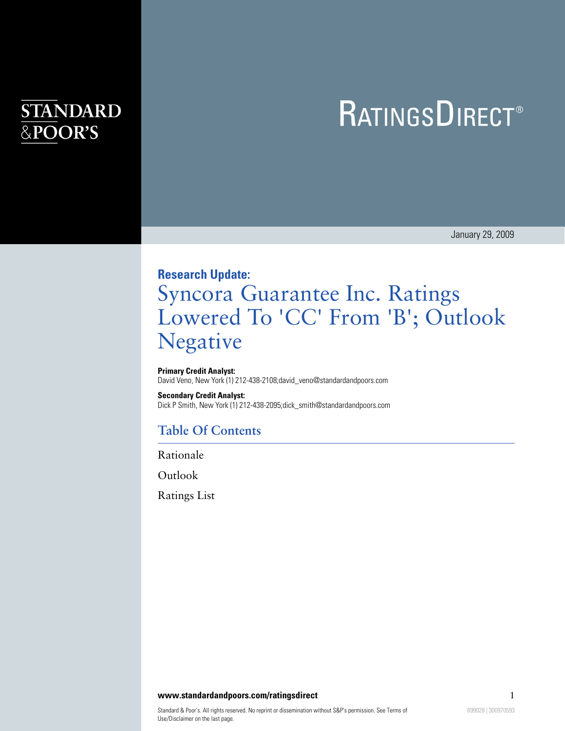# **STANDARD** &POOR'S

# **RATINGSDIRECT®**

January 29, 2009

# **Research Update:** Syncora Guarantee Inc. Ratings Lowered To 'CC' From 'B'; Outlook Negative

#### **Primary Credit Analyst:**

David Veno, New York (1) 212-438-2108;david\_veno@standardandpoors.com

#### **Secondary Credit Analyst:**

Dick P Smith, New York (1) 212-438-2095;dick\_smith@standardandpoors.com

## **Table Of Contents**

[Rationale](#page-1-0)

**[Outlook](#page-1-1)** 

[Ratings List](#page-2-0)

#### **www.standardandpoors.com/ratingsdirect** 1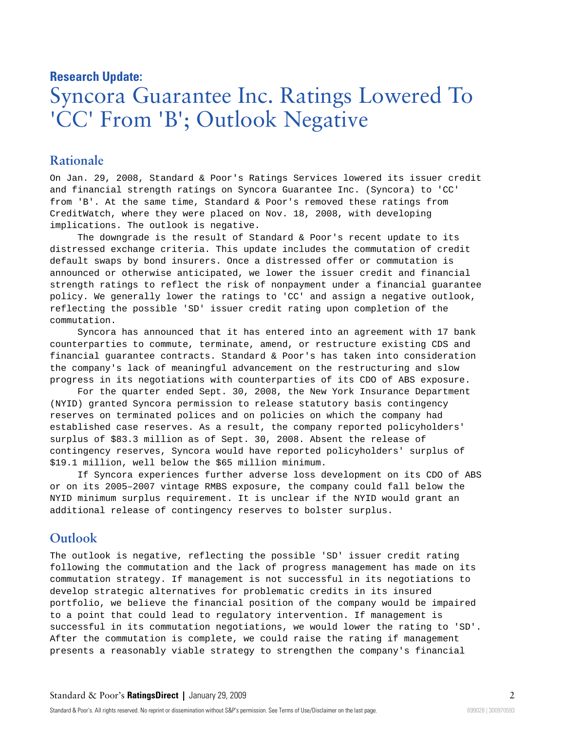## **Research Update:**

# Syncora Guarantee Inc. Ratings Lowered To 'CC' From 'B'; Outlook Negative

## <span id="page-1-0"></span>**Rationale**

On Jan. 29, 2008, Standard & Poor's Ratings Services lowered its issuer credit and financial strength ratings on Syncora Guarantee Inc. (Syncora) to 'CC' from 'B'. At the same time, Standard & Poor's removed these ratings from CreditWatch, where they were placed on Nov. 18, 2008, with developing implications. The outlook is negative.

The downgrade is the result of Standard & Poor's recent update to its distressed exchange criteria. This update includes the commutation of credit default swaps by bond insurers. Once a distressed offer or commutation is announced or otherwise anticipated, we lower the issuer credit and financial strength ratings to reflect the risk of nonpayment under a financial guarantee policy. We generally lower the ratings to 'CC' and assign a negative outlook, reflecting the possible 'SD' issuer credit rating upon completion of the commutation.

Syncora has announced that it has entered into an agreement with 17 bank counterparties to commute, terminate, amend, or restructure existing CDS and financial guarantee contracts. Standard & Poor's has taken into consideration the company's lack of meaningful advancement on the restructuring and slow progress in its negotiations with counterparties of its CDO of ABS exposure.

For the quarter ended Sept. 30, 2008, the New York Insurance Department (NYID) granted Syncora permission to release statutory basis contingency reserves on terminated polices and on policies on which the company had established case reserves. As a result, the company reported policyholders' surplus of \$83.3 million as of Sept. 30, 2008. Absent the release of contingency reserves, Syncora would have reported policyholders' surplus of \$19.1 million, well below the \$65 million minimum.

If Syncora experiences further adverse loss development on its CDO of ABS or on its 2005–2007 vintage RMBS exposure, the company could fall below the NYID minimum surplus requirement. It is unclear if the NYID would grant an additional release of contingency reserves to bolster surplus.

## <span id="page-1-1"></span>**Outlook**

The outlook is negative, reflecting the possible 'SD' issuer credit rating following the commutation and the lack of progress management has made on its commutation strategy. If management is not successful in its negotiations to develop strategic alternatives for problematic credits in its insured portfolio, we believe the financial position of the company would be impaired to a point that could lead to regulatory intervention. If management is successful in its commutation negotiations, we would lower the rating to 'SD'. After the commutation is complete, we could raise the rating if management presents a reasonably viable strategy to strengthen the company's financial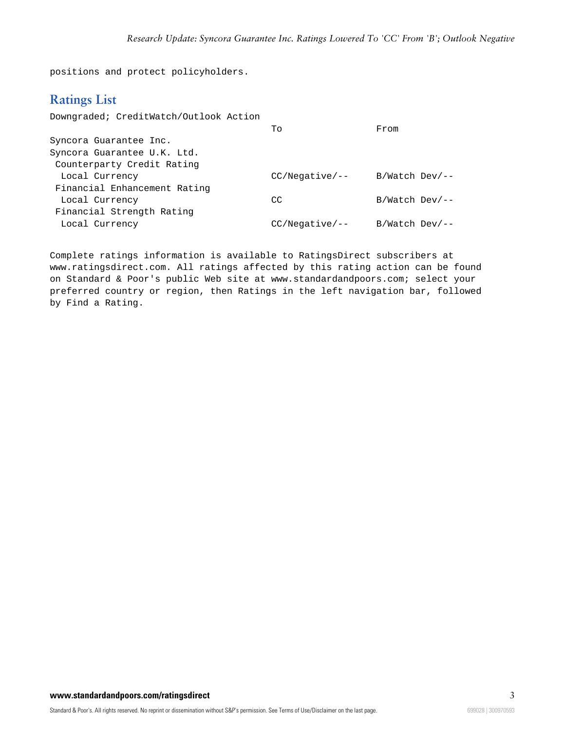<span id="page-2-0"></span>positions and protect policyholders.

## **Ratings List**

| Downgraded; CreditWatch/Outlook Action |                  |                  |
|----------------------------------------|------------------|------------------|
|                                        | To               | From             |
| Syncora Guarantee Inc.                 |                  |                  |
| Syncora Guarantee U.K. Ltd.            |                  |                  |
| Counterparty Credit Rating             |                  |                  |
| Local Currency                         | $CC/Neqative/--$ | $B/Watch$ Dev/-- |
| Financial Enhancement Rating           |                  |                  |
| Local Currency                         | CC               | $B/Watch$ Dev/-- |
| Financial Strength Rating              |                  |                  |
| Local Currency                         | $CC/Neqative/--$ | $B/Watch$ Dev/-- |
|                                        |                  |                  |

Complete ratings information is available to RatingsDirect subscribers at www.ratingsdirect.com. All ratings affected by this rating action can be found on Standard & Poor's public Web site at www.standardandpoors.com; select your preferred country or region, then Ratings in the left navigation bar, followed by Find a Rating.